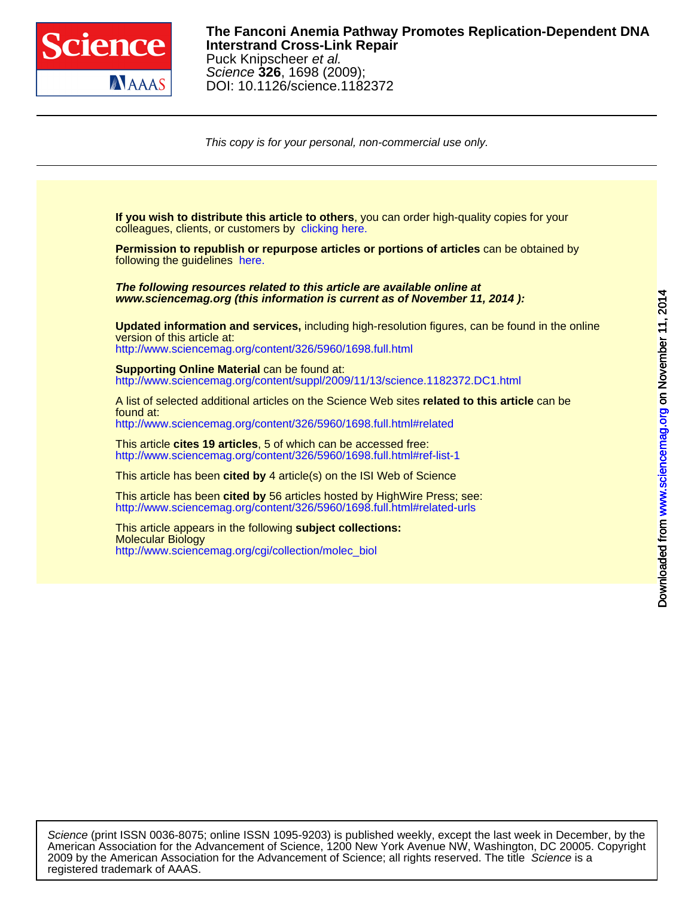

## DOI: 10.1126/science.1182372 Science **326**, 1698 (2009); Puck Knipscheer et al. **Interstrand Cross-Link Repair The Fanconi Anemia Pathway Promotes Replication-Dependent DNA**

This copy is for your personal, non-commercial use only.



registered trademark of AAAS. 2009 by the American Association for the Advancement of Science; all rights reserved. The title Science is a American Association for the Advancement of Science, 1200 New York Avenue NW, Washington, DC 20005. Copyright Science (print ISSN 0036-8075; online ISSN 1095-9203) is published weekly, except the last week in December, by the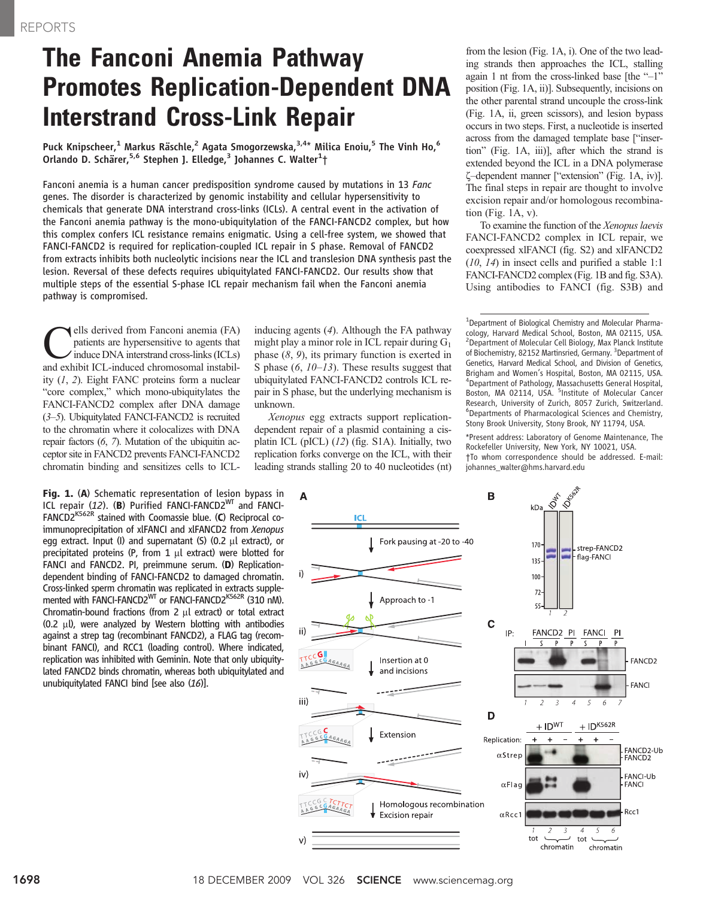# The Fanconi Anemia Pathway Promotes Replication-Dependent DNA Interstrand Cross-Link Repair

Puck Knipscheer,<sup>1</sup> Markus Räschle,<sup>2</sup> Agata Smogorzewska, $3.4*$  Milica Enoiu,<sup>5</sup> The Vinh Ho,<sup>6</sup> Orlando D. Schärer,<sup>5,6</sup> Stephen J. Elledge,<sup>3</sup> Johannes C. Walter<sup>1</sup>†

Fanconi anemia is a human cancer predisposition syndrome caused by mutations in 13 Fanc genes. The disorder is characterized by genomic instability and cellular hypersensitivity to chemicals that generate DNA interstrand cross-links (ICLs). A central event in the activation of the Fanconi anemia pathway is the mono-ubiquitylation of the FANCI-FANCD2 complex, but how this complex confers ICL resistance remains enigmatic. Using a cell-free system, we showed that FANCI-FANCD2 is required for replication-coupled ICL repair in S phase. Removal of FANCD2 from extracts inhibits both nucleolytic incisions near the ICL and translesion DNA synthesis past the lesion. Reversal of these defects requires ubiquitylated FANCI-FANCD2. Our results show that multiple steps of the essential S-phase ICL repair mechanism fail when the Fanconi anemia pathway is compromised.

ells derived from Fanconi anemia (FA) patients are hypersensitive to agents that induce DNA interstrand cross-links (ICLs) and exhibit ICL-induced chromosomal instability (1, 2). Eight FANC proteins form a nuclear "core complex," which mono-ubiquitylates the FANCI-FANCD2 complex after DNA damage (3–5). Ubiquitylated FANCI-FANCD2 is recruited to the chromatin where it colocalizes with DNA repair factors (6, 7). Mutation of the ubiquitin acceptor site in FANCD2 prevents FANCI-FANCD2 chromatin binding and sensitizes cells to ICL-

**Fig. 1. (A)** Schematic representation of lesion bypass in<br>ICL repair (12). (B) Purified FANCI-FANCD2<sup>WT</sup> and FANCI-<br>FANCD2<sup>K562R</sup> stained with Coomassie blue (C) Reciprocal co-FANCD2<sup>K562R</sup> stained with Coomassie blue. (C) Reciprocal coimmunoprecipitation of xlFANCI and xlFANCD2 from Xenopus egg extract. Input (I) and supernatant (S) (0.2  $\mu$ l extract), or precipitated proteins (P, from  $1 \mu l$  extract) were blotted for FANCI and FANCD2. PI, preimmune serum. (D) Replicationdependent binding of FANCI-FANCD2 to damaged chromatin. Cross-linked sperm chromatin was replicated in extracts supplemented with FANCI-FANCD2<sup>WT</sup> or FANCI-FANCD2<sup>K562R</sup> (310 nM). Chromatin-bound fractions (from 2  $\mu$ l extract) or total extract (0.2  $\mu$ l), were analyzed by Western blotting with antibodies against a strep tag (recombinant FANCD2), a FLAG tag (recombinant FANCI), and RCC1 (loading control). Where indicated, replication was inhibited with Geminin. Note that only ubiquitylated FANCD2 binds chromatin, whereas both ubiquitylated and unubiquitylated FANCI bind [see also (16)].

inducing agents (4). Although the FA pathway might play a minor role in ICL repair during  $G_1$ phase  $(8, 9)$ , its primary function is exerted in S phase  $(6, 10-13)$ . These results suggest that ubiquitylated FANCI-FANCD2 controls ICL repair in S phase, but the underlying mechanism is unknown.

Xenopus egg extracts support replicationdependent repair of a plasmid containing a cisplatin ICL (pICL) (12) (fig. S1A). Initially, two replication forks converge on the ICL, with their leading strands stalling 20 to 40 nucleotides (nt)

from the lesion (Fig. 1A, i). One of the two leading strands then approaches the ICL, stalling again 1 nt from the cross-linked base [the "–1" position (Fig. 1A, ii)]. Subsequently, incisions on the other parental strand uncouple the cross-link (Fig. 1A, ii, green scissors), and lesion bypass occurs in two steps. First, a nucleotide is inserted across from the damaged template base ["insertion" (Fig. 1A, iii)], after which the strand is extended beyond the ICL in a DNA polymerase z–dependent manner ["extension" (Fig. 1A, iv)]. The final steps in repair are thought to involve excision repair and/or homologous recombination (Fig. 1A, v).

To examine the function of the Xenopus laevis FANCI-FANCD2 complex in ICL repair, we coexpressed xlFANCI (fig. S2) and xlFANCD2 (10, 14) in insect cells and purified a stable 1:1 FANCI-FANCD2 complex (Fig. 1B and fig. S3A). Using antibodies to FANCI (fig. S3B) and

<sup>1</sup>Department of Biological Chemistry and Molecular Pharmacology, Harvard Medical School, Boston, MA 02115, USA. <sup>2</sup> Department of Molecular Cell Biology, Max Planck Institute of Biochemistry, 82152 Martinsried, Germany. <sup>3</sup>Department of Genetics, Harvard Medical School, and Division of Genetics, Brigham and Women's Hospital, Boston, MA 02115, USA. <sup>4</sup> <sup>4</sup>Department of Pathology, Massachusetts General Hospital,<br>Boston, MA 02114, USA. <sup>5</sup>Institute of Molecular Cancer Research, University of Zurich, 8057 Zurich, Switzerland. 6 Departments of Pharmacological Sciences and Chemistry, Stony Brook University, Stony Brook, NY 11794, USA.

\*Present address: Laboratory of Genome Maintenance, The Rockefeller University, New York, NY 10021, USA. †To whom correspondence should be addressed. E-mail: johannes\_walter@hms.harvard.edu

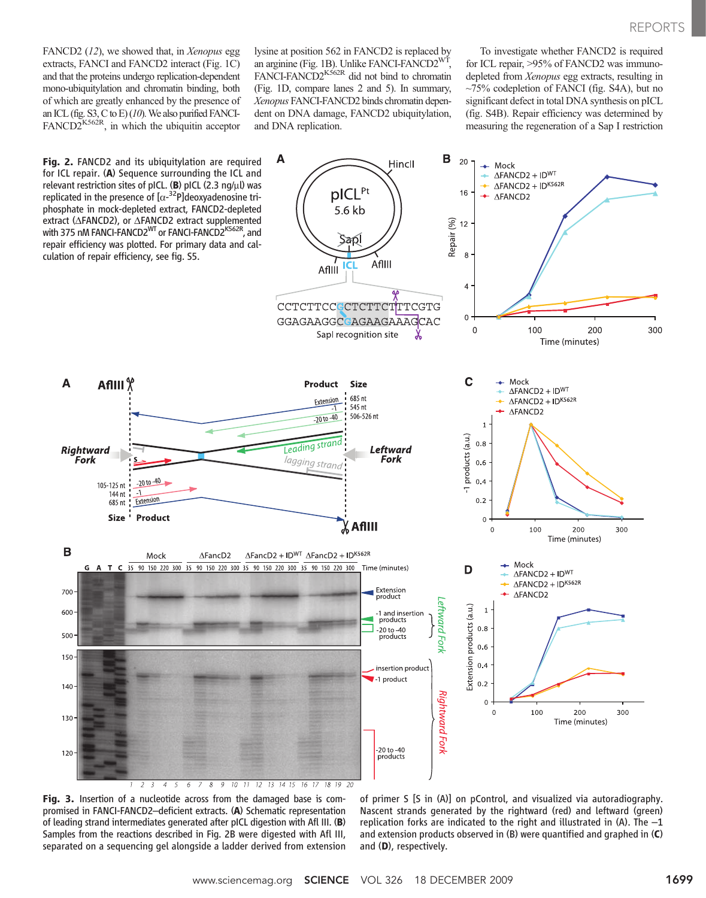FANCD2 (12), we showed that, in Xenopus egg extracts, FANCI and FANCD2 interact (Fig. 1C) and that the proteins undergo replication-dependent mono-ubiquitylation and chromatin binding, both of which are greatly enhanced by the presence of an ICL (fig. S3, C to E)  $(10)$ . We also purified FANCI- $FANCD2^{K562R}$ , in which the ubiquitin acceptor lysine at position 562 in FANCD2 is replaced by an arginine (Fig. 1B). Unlike FANCI-FANCD2WT, FANCI-FANCD2<sup>K562R</sup> did not bind to chromatin (Fig. 1D, compare lanes 2 and 5). In summary, Xenopus FANCI-FANCD2 binds chromatin dependent on DNA damage, FANCD2 ubiquitylation, and DNA replication.

To investigate whether FANCD2 is required for ICL repair, >95% of FANCD2 was immunodepleted from Xenopus egg extracts, resulting in ~75% codepletion of FANCI (fig. S4A), but no significant defect in total DNA synthesis on pICL (fig. S4B). Repair efficiency was determined by measuring the regeneration of a Sap I restriction



Fig. 3. Insertion of a nucleotide across from the damaged base is compromised in FANCI-FANCD2–deficient extracts. (A) Schematic representation of leading strand intermediates generated after pICL digestion with Afl III. (B) Samples from the reactions described in Fig. 2B were digested with Afl III, separated on a sequencing gel alongside a ladder derived from extension

of primer S [S in (A)] on pControl, and visualized via autoradiography. Nascent strands generated by the rightward (red) and leftward (green) replication forks are indicated to the right and illustrated in (A). The  $-1$ and extension products observed in (B) were quantified and graphed in (C) and (D), respectively.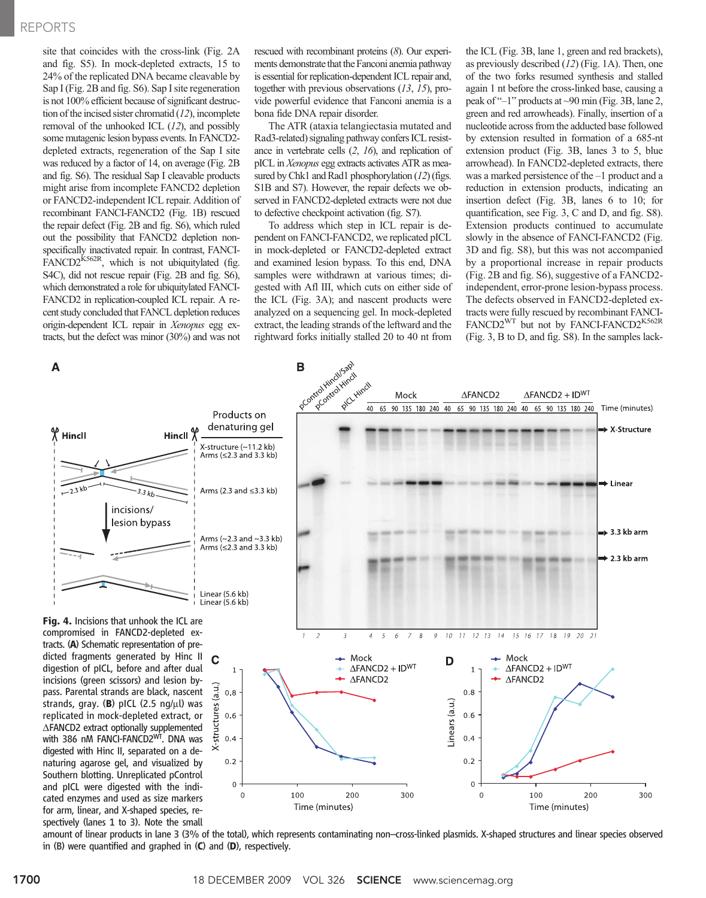### REPORTS

site that coincides with the cross-link (Fig. 2A and fig. S5). In mock-depleted extracts, 15 to 24% of the replicated DNA became cleavable by Sap I (Fig. 2B and fig. S6). Sap I site regeneration is not 100% efficient because of significant destruction of the incised sister chromatid  $(12)$ , incomplete removal of the unhooked ICL (12), and possibly some mutagenic lesion bypass events. In FANCD2 depleted extracts, regeneration of the Sap I site was reduced by a factor of 14, on average (Fig. 2B and fig. S6). The residual Sap I cleavable products might arise from incomplete FANCD2 depletion or FANCD2-independent ICL repair. Addition of recombinant FANCI-FANCD2 (Fig. 1B) rescued the repair defect (Fig. 2B and fig. S6), which ruled out the possibility that FANCD2 depletion nonspecifically inactivated repair. In contrast, FANCI- $FANCD2^{K562R}$ , which is not ubiquitylated (fig. S4C), did not rescue repair (Fig. 2B and fig. S6), which demonstrated a role for ubiquitylated FANCI-FANCD2 in replication-coupled ICL repair. A recent study concluded that FANCL depletion reduces origin-dependent ICL repair in Xenopus egg extracts, but the defect was minor (30%) and was not

rescued with recombinant proteins (8). Our experiments demonstrate that the Fanconi anemia pathway is essential for replication-dependent ICL repair and, together with previous observations (13, 15), provide powerful evidence that Fanconi anemia is a bona fide DNA repair disorder.

The ATR (ataxia telangiectasia mutated and Rad3-related) signaling pathway confers ICL resistance in vertebrate cells (2, 16), and replication of pICL in Xenopus egg extracts activates ATR as measured by Chk1 and Rad1 phosphorylation (12) (figs. S1B and S7). However, the repair defects we observed in FANCD2-depleted extracts were not due to defective checkpoint activation (fig. S7).

To address which step in ICL repair is dependent on FANCI-FANCD2, we replicated pICL in mock-depleted or FANCD2-depleted extract and examined lesion bypass. To this end, DNA samples were withdrawn at various times; digested with Afl III, which cuts on either side of the ICL (Fig. 3A); and nascent products were analyzed on a sequencing gel. In mock-depleted extract, the leading strands of the leftward and the rightward forks initially stalled 20 to 40 nt from

the ICL (Fig. 3B, lane 1, green and red brackets), as previously described (12) (Fig. 1A). Then, one of the two forks resumed synthesis and stalled again 1 nt before the cross-linked base, causing a peak of "–1" products at ~90 min (Fig. 3B, lane 2, green and red arrowheads). Finally, insertion of a nucleotide across from the adducted base followed by extension resulted in formation of a 685-nt extension product (Fig. 3B, lanes 3 to 5, blue arrowhead). In FANCD2-depleted extracts, there was a marked persistence of the –1 product and a reduction in extension products, indicating an insertion defect (Fig. 3B, lanes 6 to 10; for quantification, see Fig. 3, C and D, and fig. S8). Extension products continued to accumulate slowly in the absence of FANCI-FANCD2 (Fig. 3D and fig. S8), but this was not accompanied by a proportional increase in repair products (Fig. 2B and fig. S6), suggestive of a FANCD2 independent, error-prone lesion-bypass process. The defects observed in FANCD2-depleted extracts were fully rescued by recombinant FANCI-FANCD2<sup>WT</sup> but not by FANCI-FANCD2<sup>K562R</sup> (Fig. 3, B to D, and fig. S8). In the samples lack-



amount of linear products in lane 3 (3% of the total), which represents contaminating non–cross-linked plasmids. X-shaped structures and linear species observed in (B) were quantified and graphed in (C) and (D), respectively.